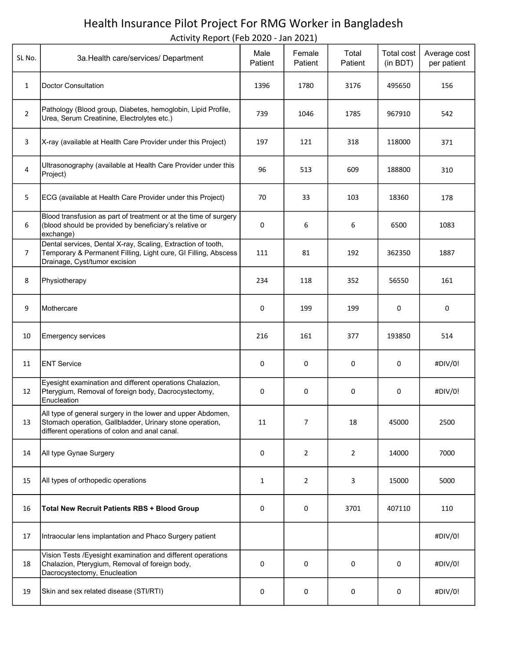## Health Insurance Pilot Project For RMG Worker in Bangladesh

Activity Report (Feb 2020 - Jan 2021)

| SL No.         | 3a. Health care/services/ Department                                                                                                                                     | Male<br>Patient | Female<br>Patient | Total<br>Patient | Total cost<br>(in BDT) | Average cost<br>per patient |
|----------------|--------------------------------------------------------------------------------------------------------------------------------------------------------------------------|-----------------|-------------------|------------------|------------------------|-----------------------------|
| $\mathbf{1}$   | Doctor Consultation                                                                                                                                                      | 1396            | 1780              | 3176             | 495650                 | 156                         |
| $\overline{2}$ | Pathology (Blood group, Diabetes, hemoglobin, Lipid Profile,<br>Urea, Serum Creatinine, Electrolytes etc.)                                                               | 739             | 1046              | 1785             | 967910                 | 542                         |
| 3              | X-ray (available at Health Care Provider under this Project)                                                                                                             | 197             | 121               | 318              | 118000                 | 371                         |
| 4              | Ultrasonography (available at Health Care Provider under this<br>Project)                                                                                                | 96              | 513               | 609              | 188800                 | 310                         |
| 5              | ECG (available at Health Care Provider under this Project)                                                                                                               | 70              | 33                | 103              | 18360                  | 178                         |
| 6              | Blood transfusion as part of treatment or at the time of surgery<br>(blood should be provided by beneficiary's relative or<br>exchange)                                  | 0               | 6                 | 6                | 6500                   | 1083                        |
| $\overline{7}$ | Dental services, Dental X-ray, Scaling, Extraction of tooth,<br>Temporary & Permanent Filling, Light cure, GI Filling, Abscess<br>Drainage, Cyst/tumor excision          | 111             | 81                | 192              | 362350                 | 1887                        |
| 8              | Physiotherapy                                                                                                                                                            | 234             | 118               | 352              | 56550                  | 161                         |
| 9              | Mothercare                                                                                                                                                               | 0               | 199               | 199              | 0                      | 0                           |
| 10             | <b>Emergency services</b>                                                                                                                                                | 216             | 161               | 377              | 193850                 | 514                         |
| 11             | <b>ENT Service</b>                                                                                                                                                       | 0               | 0                 | 0                | 0                      | #DIV/0!                     |
| 12             | Eyesight examination and different operations Chalazion,<br>Pterygium, Removal of foreign body, Dacrocystectomy,<br>Enucleation                                          | 0               | 0                 | 0                | 0                      | #DIV/0!                     |
| 13             | All type of general surgery in the lower and upper Abdomen,<br>Stomach operation, Gallbladder, Urinary stone operation,<br>different operations of colon and anal canal. | 11              | 7                 | 18               | 45000                  | 2500                        |
| 14             | All type Gynae Surgery                                                                                                                                                   | 0               | $\overline{2}$    | $\overline{2}$   | 14000                  | 7000                        |
| 15             | All types of orthopedic operations                                                                                                                                       | $\mathbf{1}$    | $\overline{2}$    | 3                | 15000                  | 5000                        |
| 16             | <b>Total New Recruit Patients RBS + Blood Group</b>                                                                                                                      | 0               | 0                 | 3701             | 407110                 | 110                         |
| 17             | Intraocular lens implantation and Phaco Surgery patient                                                                                                                  |                 |                   |                  |                        | #DIV/0!                     |
| 18             | Vision Tests /Eyesight examination and different operations<br>Chalazion, Pterygium, Removal of foreign body,<br>Dacrocystectomy, Enucleation                            | 0               | 0                 | 0                | 0                      | #DIV/0!                     |
| 19             | Skin and sex related disease (STI/RTI)                                                                                                                                   | 0               | 0                 | 0                | 0                      | #DIV/0!                     |